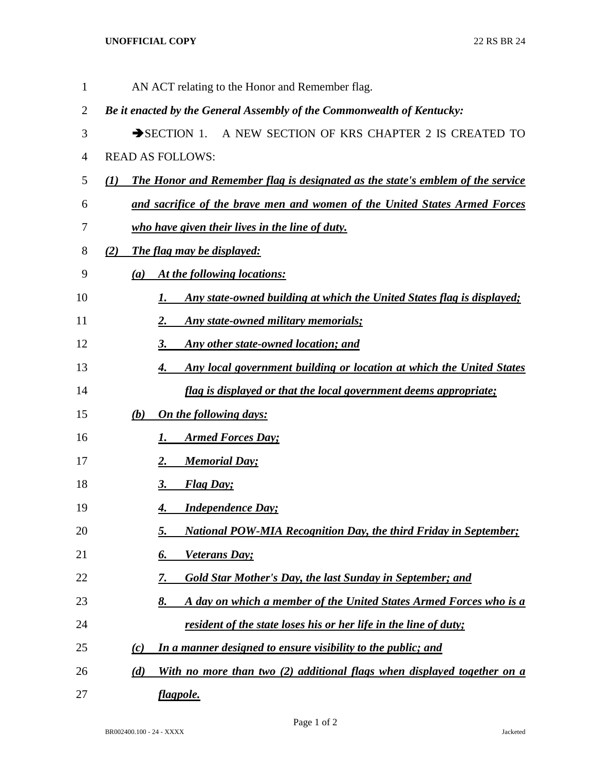## **UNOFFICIAL COPY** 22 RS BR 24

| $\mathbf{1}$   | AN ACT relating to the Honor and Remember flag.                                                |
|----------------|------------------------------------------------------------------------------------------------|
| $\overline{2}$ | Be it enacted by the General Assembly of the Commonwealth of Kentucky:                         |
| 3              | A NEW SECTION OF KRS CHAPTER 2 IS CREATED TO<br>$\rightarrow$ SECTION 1.                       |
| $\overline{4}$ | <b>READ AS FOLLOWS:</b>                                                                        |
| 5              | The Honor and Remember flag is designated as the state's emblem of the service<br>$\mathbf{U}$ |
| 6              | and sacrifice of the brave men and women of the United States Armed Forces                     |
| 7              | who have given their lives in the line of duty.                                                |
| 8              | <b>The flag may be displayed:</b><br>(2)                                                       |
| 9              | At the following locations:<br>(a)                                                             |
| 10             | Any state-owned building at which the United States flag is displayed;<br><u>I.</u>            |
| 11             | Any state-owned military memorials;<br><u>2.</u>                                               |
| 12             | Any other state-owned location; and<br><u>3.</u>                                               |
| 13             | Any local government building or location at which the United States<br><u>4.</u>              |
| 14             | <i>flag is displayed or that the local government deems appropriate;</i>                       |
| 15             | On the following days:<br><u>(b)</u>                                                           |
| 16             | <b>Armed Forces Day;</b><br><u>I.</u>                                                          |
| 17             | <b>Memorial Day;</b><br><u>2.</u>                                                              |
| 18             | <b>Flag Day</b> ;<br><u>3.</u>                                                                 |
| 19             | <b>Independence Day;</b><br>4.                                                                 |
| 20             | <b>National POW-MIA Recognition Day, the third Friday in September;</b>                        |
| 21             | Veterans Day;<br>6.                                                                            |
| 22             | <b>Gold Star Mother's Day, the last Sunday in September; and</b><br>7.                         |
| 23             | A day on which a member of the United States Armed Forces who is a<br>8.                       |
| 24             | resident of the state loses his or her life in the line of duty;                               |
| 25             | In a manner designed to ensure visibility to the public; and<br>(c)                            |
| 26             | With no more than two (2) additional flags when displayed together on a<br>(d)                 |
| 27             | flagpole.                                                                                      |